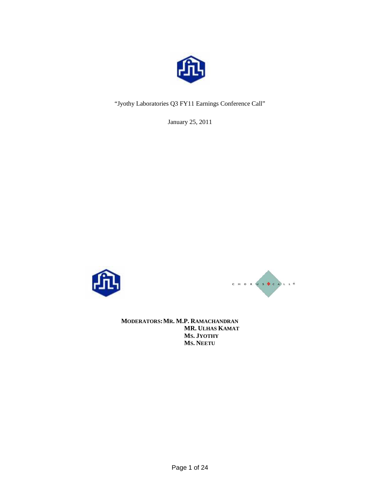

"Jyothy Laboratories Q3 FY11 Earnings Conference Call"

January 25, 2011





**MODERATORS: MR. M.P. RAMACHANDRAN MR. ULHAS KAMAT MS. JYOTHY MS. NEETU**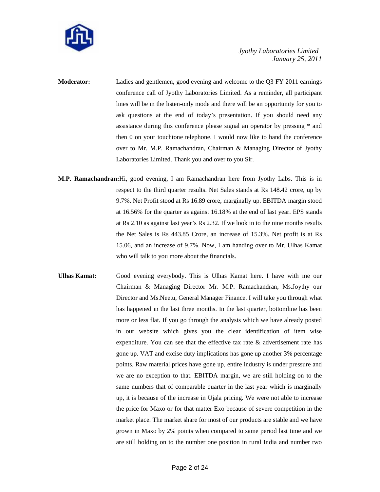

- **Moderator:** Ladies and gentlemen, good evening and welcome to the Q3 FY 2011 earnings conference call of Jyothy Laboratories Limited. As a reminder, all participant lines will be in the listen-only mode and there will be an opportunity for you to ask questions at the end of today's presentation. If you should need any assistance during this conference please signal an operator by pressing \* and then 0 on your touchtone telephone. I would now like to hand the conference over to Mr. M.P. Ramachandran, Chairman & Managing Director of Jyothy Laboratories Limited. Thank you and over to you Sir.
- **M.P. Ramachandran:**Hi, good evening, I am Ramachandran here from Jyothy Labs. This is in respect to the third quarter results. Net Sales stands at Rs 148.42 crore, up by 9.7%. Net Profit stood at Rs 16.89 crore, marginally up. EBITDA margin stood at 16.56% for the quarter as against 16.18% at the end of last year. EPS stands at Rs 2.10 as against last year's Rs 2.32. If we look in to the nine months results the Net Sales is Rs 443.85 Crore, an increase of 15.3%. Net profit is at Rs 15.06, and an increase of 9.7%. Now, I am handing over to Mr. Ulhas Kamat who will talk to you more about the financials.
- **Ulhas Kamat:** Good evening everybody. This is Ulhas Kamat here. I have with me our Chairman & Managing Director Mr. M.P. Ramachandran, Ms.Joythy our Director and Ms.Neetu, General Manager Finance. I will take you through what has happened in the last three months. In the last quarter, bottomline has been more or less flat. If you go through the analysis which we have already posted in our website which gives you the clear identification of item wise expenditure. You can see that the effective tax rate & advertisement rate has gone up. VAT and excise duty implications has gone up another 3% percentage points. Raw material prices have gone up, entire industry is under pressure and we are no exception to that. EBITDA margin, we are still holding on to the same numbers that of comparable quarter in the last year which is marginally up, it is because of the increase in Ujala pricing. We were not able to increase the price for Maxo or for that matter Exo because of severe competition in the market place. The market share for most of our products are stable and we have grown in Maxo by 2% points when compared to same period last time and we are still holding on to the number one position in rural India and number two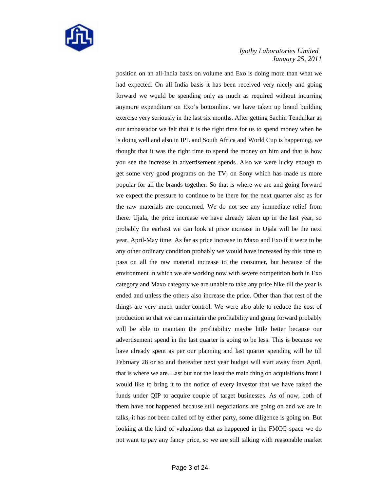

position on an all-India basis on volume and Exo is doing more than what we had expected. On all India basis it has been received very nicely and going forward we would be spending only as much as required without incurring anymore expenditure on Exo's bottomline. we have taken up brand building exercise very seriously in the last six months. After getting Sachin Tendulkar as our ambassador we felt that it is the right time for us to spend money when he is doing well and also in IPL and South Africa and World Cup is happening, we thought that it was the right time to spend the money on him and that is how you see the increase in advertisement spends. Also we were lucky enough to get some very good programs on the TV, on Sony which has made us more popular for all the brands together. So that is where we are and going forward we expect the pressure to continue to be there for the next quarter also as for the raw materials are concerned. We do not see any immediate relief from there. Ujala, the price increase we have already taken up in the last year, so probably the earliest we can look at price increase in Ujala will be the next year, April-May time. As far as price increase in Maxo and Exo if it were to be any other ordinary condition probably we would have increased by this time to pass on all the raw material increase to the consumer, but because of the environment in which we are working now with severe competition both in Exo category and Maxo category we are unable to take any price hike till the year is ended and unless the others also increase the price. Other than that rest of the things are very much under control. We were also able to reduce the cost of production so that we can maintain the profitability and going forward probably will be able to maintain the profitability maybe little better because our advertisement spend in the last quarter is going to be less. This is because we have already spent as per our planning and last quarter spending will be till February 28 or so and thereafter next year budget will start away from April, that is where we are. Last but not the least the main thing on acquisitions front I would like to bring it to the notice of every investor that we have raised the funds under QIP to acquire couple of target businesses. As of now, both of them have not happened because still negotiations are going on and we are in talks, it has not been called off by either party, some diligence is going on. But looking at the kind of valuations that as happened in the FMCG space we do not want to pay any fancy price, so we are still talking with reasonable market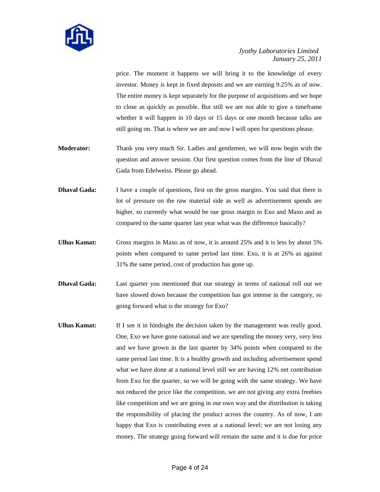

price. The moment it happens we will bring it to the knowledge of every investor. Money is kept in fixed deposits and we are earning 9.25% as of now. The entire money is kept separately for the purpose of acquisitions and we hope to close as quickly as possible. But still we are not able to give a timeframe whether it will happen in 10 days or 15 days or one month because talks are still going on. That is where we are and now I will open for questions please.

- **Moderator:** Thank you very much Sir. Ladies and gentlemen, we will now begin with the question and answer session. Our first question comes from the line of Dhaval Gada from Edelweiss. Please go ahead.
- **Dhaval Gada:** I have a couple of questions, first on the gross margins. You said that there is lot of pressure on the raw material side as well as advertisement spends are higher, so currently what would be our gross margin in Exo and Maxo and as compared to the same quarter last year what was the difference basically?
- **Ulhas Kamat:** Gross margins in Maxo as of now, it is around 25% and it is less by about 5% points when compared to same period last time. Exo, it is at 26% as against 31% the same period, cost of production has gone up.
- **Dhaval Gada:** Last quarter you mentioned that our strategy in terms of national roll out we have slowed down because the competition has got intense in the category, so going forward what is the strategy for Exo?
- Ulhas Kamat: If I see it in hindsight the decision taken by the management was really good. One, Exo we have gone national and we are spending the money very, very less and we have grown in the last quarter by 34% points when compared to the same period last time. It is a healthy growth and including advertisement spend what we have done at a national level still we are having 12% net contribution from Exo for the quarter, so we will be going with the same strategy. We have not reduced the price like the competition, we are not giving any extra freebies like competition and we are going in our own way and the distribution is taking the responsibility of placing the product across the country. As of now, I am happy that Exo is contributing even at a national level; we are not losing any money. The strategy going forward will remain the same and it is due for price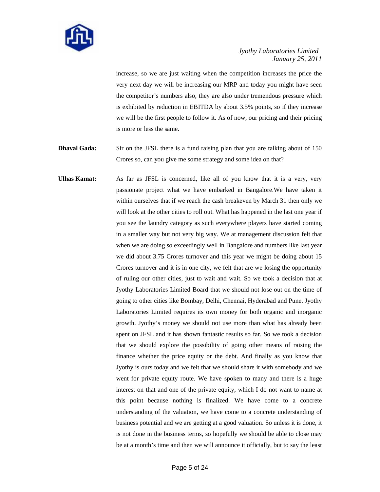

increase, so we are just waiting when the competition increases the price the very next day we will be increasing our MRP and today you might have seen the competitor's numbers also, they are also under tremendous pressure which is exhibited by reduction in EBITDA by about 3.5% points, so if they increase we will be the first people to follow it. As of now, our pricing and their pricing is more or less the same.

- **Dhaval Gada:** Sir on the JFSL there is a fund raising plan that you are talking about of 150 Crores so, can you give me some strategy and some idea on that?
- **Ulhas Kamat:** As far as JFSL is concerned, like all of you know that it is a very, very passionate project what we have embarked in Bangalore.We have taken it within ourselves that if we reach the cash breakeven by March 31 then only we will look at the other cities to roll out. What has happened in the last one year if you see the laundry category as such everywhere players have started coming in a smaller way but not very big way. We at management discussion felt that when we are doing so exceedingly well in Bangalore and numbers like last year we did about 3.75 Crores turnover and this year we might be doing about 15 Crores turnover and it is in one city, we felt that are we losing the opportunity of ruling our other cities, just to wait and wait. So we took a decision that at Jyothy Laboratories Limited Board that we should not lose out on the time of going to other cities like Bombay, Delhi, Chennai, Hyderabad and Pune. Jyothy Laboratories Limited requires its own money for both organic and inorganic growth. Jyothy's money we should not use more than what has already been spent on JFSL and it has shown fantastic results so far. So we took a decision that we should explore the possibility of going other means of raising the finance whether the price equity or the debt. And finally as you know that Jyothy is ours today and we felt that we should share it with somebody and we went for private equity route. We have spoken to many and there is a huge interest on that and one of the private equity, which I do not want to name at this point because nothing is finalized. We have come to a concrete understanding of the valuation, we have come to a concrete understanding of business potential and we are getting at a good valuation. So unless it is done, it is not done in the business terms, so hopefully we should be able to close may be at a month's time and then we will announce it officially, but to say the least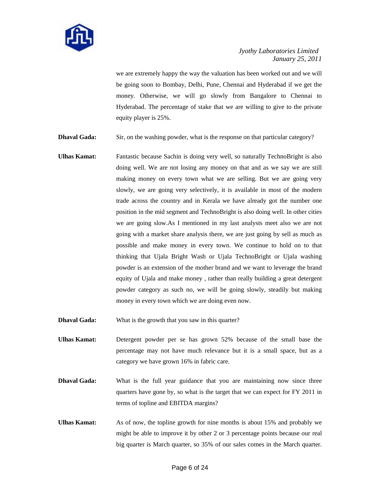

we are extremely happy the way the valuation has been worked out and we will be going soon to Bombay, Delhi, Pune, Chennai and Hyderabad if we get the money. Otherwise, we will go slowly from Bangalore to Chennai to Hyderabad. The percentage of stake that we are willing to give to the private equity player is 25%.

- **Dhaval Gada:** Sir, on the washing powder, what is the response on that particular category?
- **Ulhas Kamat:** Fantastic because Sachin is doing very well, so naturally TechnoBright is also doing well. We are not losing any money on that and as we say we are still making money on every town what we are selling. But we are going very slowly, we are going very selectively, it is available in most of the modern trade across the country and in Kerala we have already got the number one position in the mid segment and TechnoBright is also doing well. In other cities we are going slow.As I mentioned in my last analysts meet also we are not going with a market share analysis there, we are just going by sell as much as possible and make money in every town. We continue to hold on to that thinking that Ujala Bright Wash or Ujala TechnoBright or Ujala washing powder is an extension of the mother brand and we want to leverage the brand equity of Ujala and make money , rather than really building a great detergent powder category as such no, we will be going slowly, steadily but making money in every town which we are doing even now.
- **Dhaval Gada:** What is the growth that you saw in this quarter?
- **Ulhas Kamat:** Detergent powder per se has grown 52% because of the small base the percentage may not have much relevance but it is a small space, but as a category we have grown 16% in fabric care.
- **Dhaval Gada:** What is the full year guidance that you are maintaining now since three quarters have gone by, so what is the target that we can expect for FY 2011 in terms of topline and EBITDA margins?
- **Ulhas Kamat:** As of now, the topline growth for nine months is about 15% and probably we might be able to improve it by other 2 or 3 percentage points because our real big quarter is March quarter, so 35% of our sales comes in the March quarter.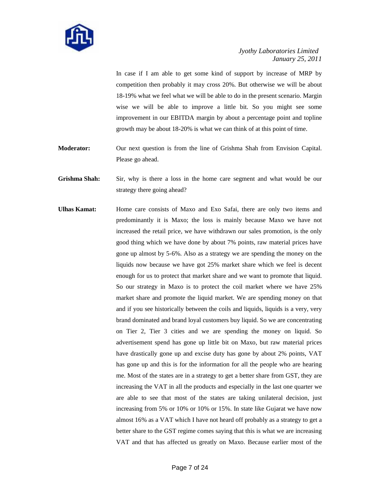

In case if I am able to get some kind of support by increase of MRP by competition then probably it may cross 20%. But otherwise we will be about 18-19% what we feel what we will be able to do in the present scenario. Margin wise we will be able to improve a little bit. So you might see some improvement in our EBITDA margin by about a percentage point and topline growth may be about 18-20% is what we can think of at this point of time.

**Moderator:** Our next question is from the line of Grishma Shah from Envision Capital. Please go ahead.

**Grishma Shah:** Sir, why is there a loss in the home care segment and what would be our strategy there going ahead?

**Ulhas Kamat:** Home care consists of Maxo and Exo Safai, there are only two items and predominantly it is Maxo; the loss is mainly because Maxo we have not increased the retail price, we have withdrawn our sales promotion, is the only good thing which we have done by about 7% points, raw material prices have gone up almost by 5-6%. Also as a strategy we are spending the money on the liquids now because we have got 25% market share which we feel is decent enough for us to protect that market share and we want to promote that liquid. So our strategy in Maxo is to protect the coil market where we have 25% market share and promote the liquid market. We are spending money on that and if you see historically between the coils and liquids, liquids is a very, very brand dominated and brand loyal customers buy liquid. So we are concentrating on Tier 2, Tier 3 cities and we are spending the money on liquid. So advertisement spend has gone up little bit on Maxo, but raw material prices have drastically gone up and excise duty has gone by about 2% points, VAT has gone up and this is for the information for all the people who are hearing me. Most of the states are in a strategy to get a better share from GST, they are increasing the VAT in all the products and especially in the last one quarter we are able to see that most of the states are taking unilateral decision, just increasing from 5% or 10% or 10% or 15%. In state like Gujarat we have now almost 16% as a VAT which I have not heard off probably as a strategy to get a better share to the GST regime comes saying that this is what we are increasing VAT and that has affected us greatly on Maxo. Because earlier most of the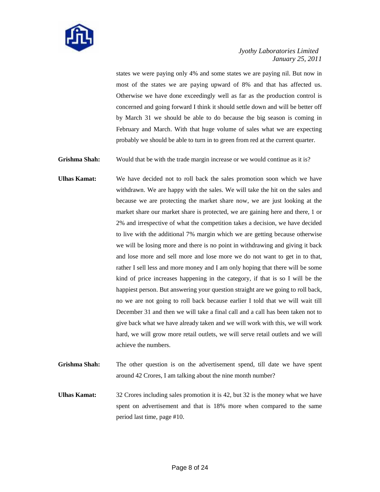

states we were paying only 4% and some states we are paying nil. But now in most of the states we are paying upward of 8% and that has affected us. Otherwise we have done exceedingly well as far as the production control is concerned and going forward I think it should settle down and will be better off by March 31 we should be able to do because the big season is coming in February and March. With that huge volume of sales what we are expecting probably we should be able to turn in to green from red at the current quarter.

Grishma Shah: Would that be with the trade margin increase or we would continue as it is?

- **Ulhas Kamat:** We have decided not to roll back the sales promotion soon which we have withdrawn. We are happy with the sales. We will take the hit on the sales and because we are protecting the market share now, we are just looking at the market share our market share is protected, we are gaining here and there, 1 or 2% and irrespective of what the competition takes a decision, we have decided to live with the additional 7% margin which we are getting because otherwise we will be losing more and there is no point in withdrawing and giving it back and lose more and sell more and lose more we do not want to get in to that, rather I sell less and more money and I am only hoping that there will be some kind of price increases happening in the category, if that is so I will be the happiest person. But answering your question straight are we going to roll back, no we are not going to roll back because earlier I told that we will wait till December 31 and then we will take a final call and a call has been taken not to give back what we have already taken and we will work with this, we will work hard, we will grow more retail outlets, we will serve retail outlets and we will achieve the numbers.
- **Grishma Shah:** The other question is on the advertisement spend, till date we have spent around 42 Crores, I am talking about the nine month number?

Ulhas Kamat: 32 Crores including sales promotion it is 42, but 32 is the money what we have spent on advertisement and that is 18% more when compared to the same period last time, page #10.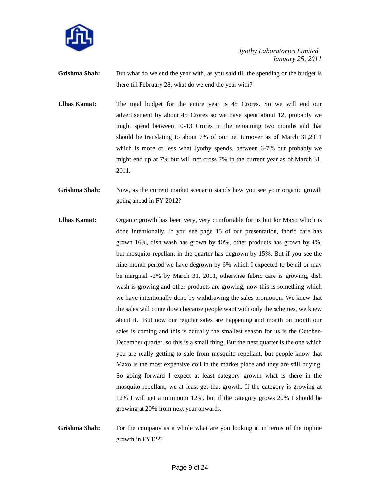

- **Grishma Shah:** But what do we end the year with, as you said till the spending or the budget is there till February 28, what do we end the year with?
- **Ulhas Kamat:** The total budget for the entire year is 45 Crores. So we will end our advertisement by about 45 Crores so we have spent about 12, probably we might spend between 10-13 Crores in the remaining two months and that should be translating to about 7% of our net turnover as of March 31,2011 which is more or less what Jyothy spends, between 6-7% but probably we might end up at 7% but will not cross 7% in the current year as of March 31, 2011.
- **Grishma Shah:** Now, as the current market scenario stands how you see your organic growth going ahead in FY 2012?
- **Ulhas Kamat:** Organic growth has been very, very comfortable for us but for Maxo which is done intentionally. If you see page 15 of our presentation, fabric care has grown 16%, dish wash has grown by 40%, other products has grown by 4%, but mosquito repellant in the quarter has degrown by 15%. But if you see the nine-month period we have degrown by 6% which I expected to be nil or may be marginal -2% by March 31, 2011, otherwise fabric care is growing, dish wash is growing and other products are growing, now this is something which we have intentionally done by withdrawing the sales promotion. We knew that the sales will come down because people want with only the schemes, we knew about it. But now our regular sales are happening and month on month our sales is coming and this is actually the smallest season for us is the October-December quarter, so this is a small thing. But the next quarter is the one which you are really getting to sale from mosquito repellant, but people know that Maxo is the most expensive coil in the market place and they are still buying. So going forward I expect at least category growth what is there in the mosquito repellant, we at least get that growth. If the category is growing at 12% I will get a minimum 12%, but if the category grows 20% I should be growing at 20% from next year onwards.
- Grishma Shah: For the company as a whole what are you looking at in terms of the topline growth in FY12??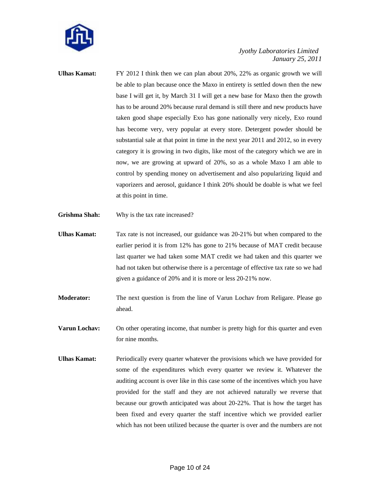

- **Ulhas Kamat:** FY 2012 I think then we can plan about 20%, 22% as organic growth we will be able to plan because once the Maxo in entirety is settled down then the new base I will get it, by March 31 I will get a new base for Maxo then the growth has to be around 20% because rural demand is still there and new products have taken good shape especially Exo has gone nationally very nicely, Exo round has become very, very popular at every store. Detergent powder should be substantial sale at that point in time in the next year 2011 and 2012, so in every category it is growing in two digits, like most of the category which we are in now, we are growing at upward of 20%, so as a whole Maxo I am able to control by spending money on advertisement and also popularizing liquid and vaporizers and aerosol, guidance I think 20% should be doable is what we feel at this point in time.
- **Grishma Shah:** Why is the tax rate increased?
- **Ulhas Kamat:** Tax rate is not increased, our guidance was 20-21% but when compared to the earlier period it is from 12% has gone to 21% because of MAT credit because last quarter we had taken some MAT credit we had taken and this quarter we had not taken but otherwise there is a percentage of effective tax rate so we had given a guidance of 20% and it is more or less 20-21% now.
- **Moderator:** The next question is from the line of Varun Lochav from Religare. Please go ahead.
- **Varun Lochav:** On other operating income, that number is pretty high for this quarter and even for nine months.
- Ulhas Kamat: Periodically every quarter whatever the provisions which we have provided for some of the expenditures which every quarter we review it. Whatever the auditing account is over like in this case some of the incentives which you have provided for the staff and they are not achieved naturally we reverse that because our growth anticipated was about 20-22%. That is how the target has been fixed and every quarter the staff incentive which we provided earlier which has not been utilized because the quarter is over and the numbers are not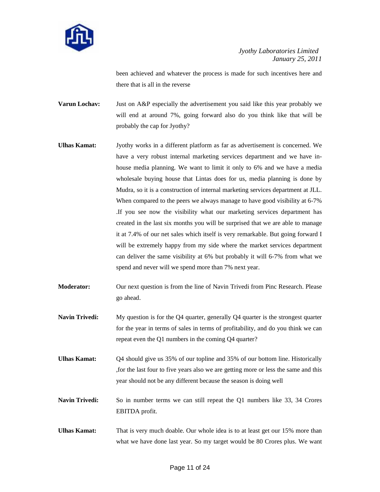

been achieved and whatever the process is made for such incentives here and there that is all in the reverse

**Varun Lochav:** Just on A&P especially the advertisement you said like this year probably we will end at around 7%, going forward also do you think like that will be probably the cap for Jyothy?

- **Ulhas Kamat:** Jyothy works in a different platform as far as advertisement is concerned. We have a very robust internal marketing services department and we have inhouse media planning. We want to limit it only to 6% and we have a media wholesale buying house that Lintas does for us, media planning is done by Mudra, so it is a construction of internal marketing services department at JLL. When compared to the peers we always manage to have good visibility at 6-7% .If you see now the visibility what our marketing services department has created in the last six months you will be surprised that we are able to manage it at 7.4% of our net sales which itself is very remarkable. But going forward I will be extremely happy from my side where the market services department can deliver the same visibility at 6% but probably it will 6-7% from what we spend and never will we spend more than 7% next year.
- **Moderator:** Our next question is from the line of Navin Trivedi from Pinc Research. Please go ahead.
- **Navin Trivedi:** My question is for the Q4 quarter, generally Q4 quarter is the strongest quarter for the year in terms of sales in terms of profitability, and do you think we can repeat even the Q1 numbers in the coming Q4 quarter?
- **Ulhas Kamat:** Q4 should give us 35% of our topline and 35% of our bottom line. Historically ,for the last four to five years also we are getting more or less the same and this year should not be any different because the season is doing well
- **Navin Trivedi:** So in number terms we can still repeat the Q1 numbers like 33, 34 Crores EBITDA profit.
- **Ulhas Kamat:** That is very much doable. Our whole idea is to at least get our 15% more than what we have done last year. So my target would be 80 Crores plus. We want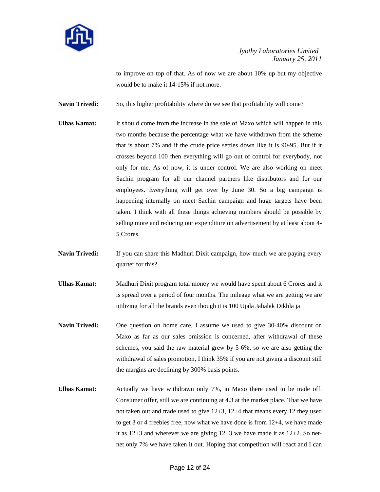

to improve on top of that. As of now we are about 10% up but my objective would be to make it 14-15% if not more.

**Navin Trivedi:** So, this higher profitability where do we see that profitability will come?

- **Ulhas Kamat:** It should come from the increase in the sale of Maxo which will happen in this two months because the percentage what we have withdrawn from the scheme that is about 7% and if the crude price settles down like it is 90-95. But if it crosses beyond 100 then everything will go out of control for everybody, not only for me. As of now, it is under control. We are also working on meet Sachin program for all our channel partners like distributors and for our employees. Everything will get over by June 30. So a big campaign is happening internally on meet Sachin campaign and huge targets have been taken. I think with all these things achieving numbers should be possible by selling more and reducing our expenditure on advertisement by at least about 4- 5 Crores.
- **Navin Trivedi:** If you can share this Madhuri Dixit campaign, how much we are paying every quarter for this?
- **Ulhas Kamat:** Madhuri Dixit program total money we would have spent about 6 Crores and it is spread over a period of four months. The mileage what we are getting we are utilizing for all the brands even though it is 100 Ujala Jahalak Dikhla ja
- **Navin Trivedi:** One question on home care, I assume we used to give 30-40% discount on Maxo as far as our sales omission is concerned, after withdrawal of these schemes, you said the raw material grew by 5-6%, so we are also getting the withdrawal of sales promotion, I think 35% if you are not giving a discount still the margins are declining by 300% basis points.
- **Ulhas Kamat:** Actually we have withdrawn only 7%, in Maxo there used to be trade off. Consumer offer, still we are continuing at 4.3 at the market place. That we have not taken out and trade used to give 12+3, 12+4 that means every 12 they used to get 3 or 4 freebies free, now what we have done is from 12+4, we have made it as 12+3 and wherever we are giving 12+3 we have made it as 12+2. So netnet only 7% we have taken it out. Hoping that competition will react and I can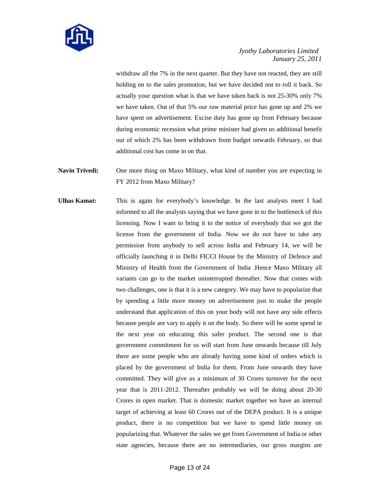

withdraw all the 7% in the next quarter. But they have not reacted, they are still holding on to the sales promotion, but we have decided not to roll it back. So actually your question what is that we have taken back is not 25-30% only 7% we have taken. Out of that 5% our raw material price has gone up and 2% we have spent on advertisement. Excise duty has gone up from February because during economic recession what prime minister had given us additional benefit out of which 2% has been withdrawn from budget onwards February, so that additional cost has come in on that.

# **Navin Trivedi:** One more thing on Maxo Military, what kind of number you are expecting in FY 2012 from Maxo Military?

**Ulhas Kamat:** This is again for everybody's knowledge. In the last analysts meet I had informed to all the analysts saying that we have gone in to the bottleneck of this licensing. Now I want to bring it to the notice of everybody that we got the license from the government of India. Now we do not have to take any permission from anybody to sell across India and February 14, we will be officially launching it in Delhi FICCI House by the Ministry of Defence and Ministry of Health from the Government of India .Hence Maxo Military all variants can go to the market uninterrupted thereafter. Now that comes with two challenges, one is that it is a new category. We may have to popularize that by spending a little more money on advertisement just to make the people understand that application of this on your body will not have any side effects because people are vary to apply it on the body. So there will be some spend in the next year on educating this safer product. The second one is that government commitment for us will start from June onwards because till July there are some people who are already having some kind of orders which is placed by the government of India for them. From June onwards they have committed. They will give us a minimum of 30 Crores turnover for the next year that is 2011-2012. Thereafter probably we will be doing about 20-30 Crores in open market. That is domestic market together we have an internal target of achieving at least 60 Crores out of the DEPA product. It is a unique product, there is no competition but we have to spend little money on popularizing that. Whatever the sales we get from Government of India or other state agencies, because there are no intermediaries, our gross margins are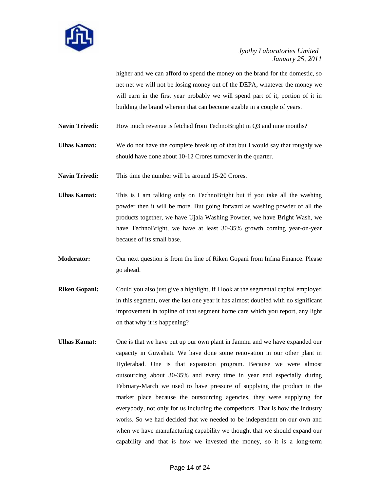

higher and we can afford to spend the money on the brand for the domestic, so net-net we will not be losing money out of the DEPA, whatever the money we will earn in the first year probably we will spend part of it, portion of it in building the brand wherein that can become sizable in a couple of years.

Navin Trivedi: How much revenue is fetched from TechnoBright in Q3 and nine months?

**Ulhas Kamat:** We do not have the complete break up of that but I would say that roughly we should have done about 10-12 Crores turnover in the quarter.

Navin Trivedi: This time the number will be around 15-20 Crores.

**Ulhas Kamat:** This is I am talking only on TechnoBright but if you take all the washing powder then it will be more. But going forward as washing powder of all the products together, we have Ujala Washing Powder, we have Bright Wash, we have TechnoBright, we have at least 30-35% growth coming year-on-year because of its small base.

**Moderator:** Our next question is from the line of Riken Gopani from Infina Finance. Please go ahead.

- **Riken Gopani:** Could you also just give a highlight, if I look at the segmental capital employed in this segment, over the last one year it has almost doubled with no significant improvement in topline of that segment home care which you report, any light on that why it is happening?
- Ulhas Kamat: One is that we have put up our own plant in Jammu and we have expanded our capacity in Guwahati. We have done some renovation in our other plant in Hyderabad. One is that expansion program. Because we were almost outsourcing about 30-35% and every time in year end especially during February-March we used to have pressure of supplying the product in the market place because the outsourcing agencies, they were supplying for everybody, not only for us including the competitors. That is how the industry works. So we had decided that we needed to be independent on our own and when we have manufacturing capability we thought that we should expand our capability and that is how we invested the money, so it is a long-term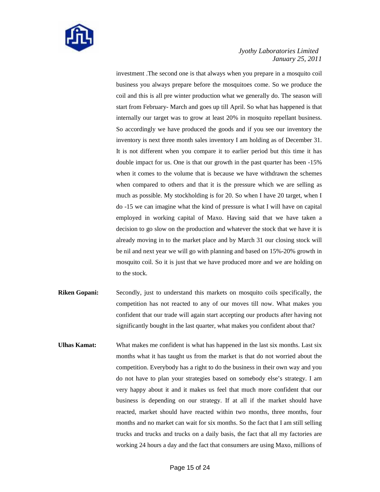

investment .The second one is that always when you prepare in a mosquito coil business you always prepare before the mosquitoes come. So we produce the coil and this is all pre winter production what we generally do. The season will start from February- March and goes up till April. So what has happened is that internally our target was to grow at least 20% in mosquito repellant business. So accordingly we have produced the goods and if you see our inventory the inventory is next three month sales inventory I am holding as of December 31. It is not different when you compare it to earlier period but this time it has double impact for us. One is that our growth in the past quarter has been -15% when it comes to the volume that is because we have withdrawn the schemes when compared to others and that it is the pressure which we are selling as much as possible. My stockholding is for 20. So when I have 20 target, when I do -15 we can imagine what the kind of pressure is what I will have on capital employed in working capital of Maxo. Having said that we have taken a decision to go slow on the production and whatever the stock that we have it is already moving in to the market place and by March 31 our closing stock will be nil and next year we will go with planning and based on 15%-20% growth in mosquito coil. So it is just that we have produced more and we are holding on to the stock.

- **Riken Gopani:** Secondly, just to understand this markets on mosquito coils specifically, the competition has not reacted to any of our moves till now. What makes you confident that our trade will again start accepting our products after having not significantly bought in the last quarter, what makes you confident about that?
- **Ulhas Kamat:** What makes me confident is what has happened in the last six months. Last six months what it has taught us from the market is that do not worried about the competition. Everybody has a right to do the business in their own way and you do not have to plan your strategies based on somebody else's strategy. I am very happy about it and it makes us feel that much more confident that our business is depending on our strategy. If at all if the market should have reacted, market should have reacted within two months, three months, four months and no market can wait for six months. So the fact that I am still selling trucks and trucks and trucks on a daily basis, the fact that all my factories are working 24 hours a day and the fact that consumers are using Maxo, millions of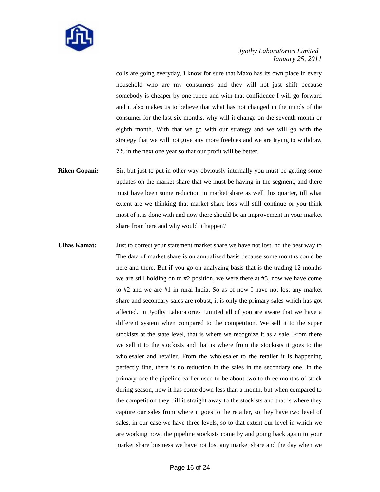

coils are going everyday, I know for sure that Maxo has its own place in every household who are my consumers and they will not just shift because somebody is cheaper by one rupee and with that confidence I will go forward and it also makes us to believe that what has not changed in the minds of the consumer for the last six months, why will it change on the seventh month or eighth month. With that we go with our strategy and we will go with the strategy that we will not give any more freebies and we are trying to withdraw 7% in the next one year so that our profit will be better.

- **Riken Gopani:** Sir, but just to put in other way obviously internally you must be getting some updates on the market share that we must be having in the segment, and there must have been some reduction in market share as well this quarter, till what extent are we thinking that market share loss will still continue or you think most of it is done with and now there should be an improvement in your market share from here and why would it happen?
- **Ulhas Kamat:** Just to correct your statement market share we have not lost. nd the best way to The data of market share is on annualized basis because some months could be here and there. But if you go on analyzing basis that is the trading 12 months we are still holding on to #2 position, we were there at #3, now we have come to #2 and we are #1 in rural India. So as of now I have not lost any market share and secondary sales are robust, it is only the primary sales which has got affected. In Jyothy Laboratories Limited all of you are aware that we have a different system when compared to the competition. We sell it to the super stockists at the state level, that is where we recognize it as a sale. From there we sell it to the stockists and that is where from the stockists it goes to the wholesaler and retailer. From the wholesaler to the retailer it is happening perfectly fine, there is no reduction in the sales in the secondary one. In the primary one the pipeline earlier used to be about two to three months of stock during season, now it has come down less than a month, but when compared to the competition they bill it straight away to the stockists and that is where they capture our sales from where it goes to the retailer, so they have two level of sales, in our case we have three levels, so to that extent our level in which we are working now, the pipeline stockists come by and going back again to your market share business we have not lost any market share and the day when we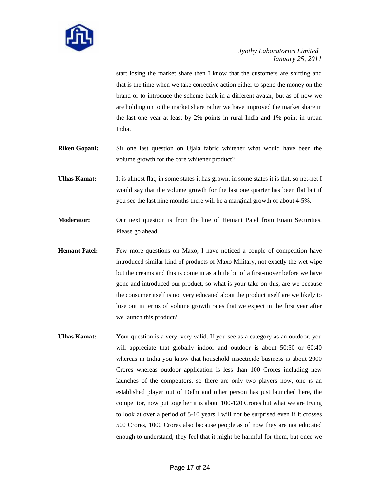

start losing the market share then I know that the customers are shifting and that is the time when we take corrective action either to spend the money on the brand or to introduce the scheme back in a different avatar, but as of now we are holding on to the market share rather we have improved the market share in the last one year at least by 2% points in rural India and 1% point in urban India.

- **Riken Gopani:** Sir one last question on Ujala fabric whitener what would have been the volume growth for the core whitener product?
- **Ulhas Kamat:** It is almost flat, in some states it has grown, in some states it is flat, so net-net I would say that the volume growth for the last one quarter has been flat but if you see the last nine months there will be a marginal growth of about 4-5%.
- **Moderator:** Our next question is from the line of Hemant Patel from Enam Securities. Please go ahead.
- **Hemant Patel:** Few more questions on Maxo, I have noticed a couple of competition have introduced similar kind of products of Maxo Military, not exactly the wet wipe but the creams and this is come in as a little bit of a first-mover before we have gone and introduced our product, so what is your take on this, are we because the consumer itself is not very educated about the product itself are we likely to lose out in terms of volume growth rates that we expect in the first year after we launch this product?
- **Ulhas Kamat:** Your question is a very, very valid. If you see as a category as an outdoor, you will appreciate that globally indoor and outdoor is about 50:50 or 60:40 whereas in India you know that household insecticide business is about 2000 Crores whereas outdoor application is less than 100 Crores including new launches of the competitors, so there are only two players now, one is an established player out of Delhi and other person has just launched here, the competitor, now put together it is about 100-120 Crores but what we are trying to look at over a period of 5-10 years I will not be surprised even if it crosses 500 Crores, 1000 Crores also because people as of now they are not educated enough to understand, they feel that it might be harmful for them, but once we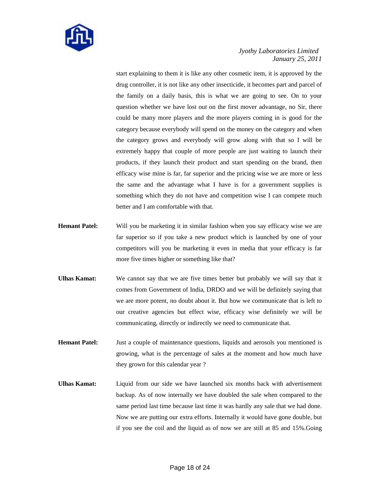

start explaining to them it is like any other cosmetic item, it is approved by the drug controller, it is not like any other insecticide, it becomes part and parcel of the family on a daily basis, this is what we are going to see. On to your question whether we have lost out on the first mover advantage, no Sir, there could be many more players and the more players coming in is good for the category because everybody will spend on the money on the category and when the category grows and everybody will grow along with that so I will be extremely happy that couple of more people are just waiting to launch their products, if they launch their product and start spending on the brand, then efficacy wise mine is far, far superior and the pricing wise we are more or less the same and the advantage what I have is for a government supplies is something which they do not have and competition wise I can compete much better and I am comfortable with that.

- **Hemant Patel:** Will you be marketing it in similar fashion when you say efficacy wise we are far superior so if you take a new product which is launched by one of your competitors will you be marketing it even in media that your efficacy is far more five times higher or something like that?
- **Ulhas Kamat:** We cannot say that we are five times better but probably we will say that it comes from Government of India, DRDO and we will be definitely saying that we are more potent, no doubt about it. But how we communicate that is left to our creative agencies but effect wise, efficacy wise definitely we will be communicating, directly or indirectly we need to communicate that.
- **Hemant Patel:** Just a couple of maintenance questions, liquids and aerosols you mentioned is growing, what is the percentage of sales at the moment and how much have they grown for this calendar year ?
- **Ulhas Kamat:** Liquid from our side we have launched six months back with advertisement backup. As of now internally we have doubled the sale when compared to the same period last time because last time it was hardly any sale that we had done. Now we are putting our extra efforts. Internally it would have gone double, but if you see the coil and the liquid as of now we are still at 85 and 15%.Going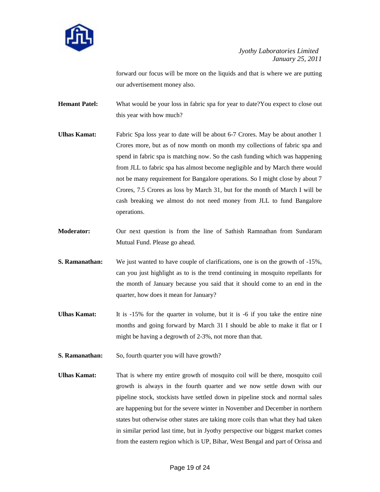

forward our focus will be more on the liquids and that is where we are putting our advertisement money also.

**Hemant Patel:** What would be your loss in fabric spa for year to date?You expect to close out this year with how much?

- **Ulhas Kamat:** Fabric Spa loss year to date will be about 6-7 Crores. May be about another 1 Crores more, but as of now month on month my collections of fabric spa and spend in fabric spa is matching now. So the cash funding which was happening from JLL to fabric spa has almost become negligible and by March there would not be many requirement for Bangalore operations. So I might close by about 7 Crores, 7.5 Crores as loss by March 31, but for the month of March I will be cash breaking we almost do not need money from JLL to fund Bangalore operations.
- **Moderator:** Our next question is from the line of Sathish Ramnathan from Sundaram Mutual Fund. Please go ahead.
- **S. Ramanathan:** We just wanted to have couple of clarifications, one is on the growth of -15%, can you just highlight as to is the trend continuing in mosquito repellants for the month of January because you said that it should come to an end in the quarter, how does it mean for January?
- Ulhas Kamat: It is -15% for the quarter in volume, but it is -6 if you take the entire nine months and going forward by March 31 I should be able to make it flat or I might be having a degrowth of 2-3%, not more than that.
- **S. Ramanathan:** So, fourth quarter you will have growth?
- **Ulhas Kamat:** That is where my entire growth of mosquito coil will be there, mosquito coil growth is always in the fourth quarter and we now settle down with our pipeline stock, stockists have settled down in pipeline stock and normal sales are happening but for the severe winter in November and December in northern states but otherwise other states are taking more coils than what they had taken in similar period last time, but in Jyothy perspective our biggest market comes from the eastern region which is UP, Bihar, West Bengal and part of Orissa and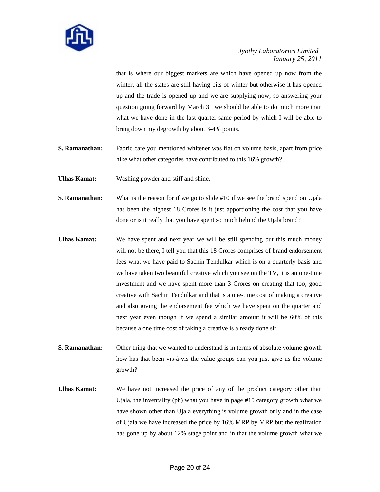

that is where our biggest markets are which have opened up now from the winter, all the states are still having bits of winter but otherwise it has opened up and the trade is opened up and we are supplying now, so answering your question going forward by March 31 we should be able to do much more than what we have done in the last quarter same period by which I will be able to bring down my degrowth by about 3-4% points.

- **S. Ramanathan:** Fabric care you mentioned whitener was flat on volume basis, apart from price hike what other categories have contributed to this 16% growth?
- **Ulhas Kamat:** Washing powder and stiff and shine.

**S. Ramanathan:** What is the reason for if we go to slide #10 if we see the brand spend on Ujala has been the highest 18 Crores is it just apportioning the cost that you have done or is it really that you have spent so much behind the Ujala brand?

- **Ulhas Kamat:** We have spent and next year we will be still spending but this much money will not be there, I tell you that this 18 Crores comprises of brand endorsement fees what we have paid to Sachin Tendulkar which is on a quarterly basis and we have taken two beautiful creative which you see on the TV, it is an one-time investment and we have spent more than 3 Crores on creating that too, good creative with Sachin Tendulkar and that is a one-time cost of making a creative and also giving the endorsement fee which we have spent on the quarter and next year even though if we spend a similar amount it will be 60% of this because a one time cost of taking a creative is already done sir.
- **S. Ramanathan:** Other thing that we wanted to understand is in terms of absolute volume growth how has that been vis-à-vis the value groups can you just give us the volume growth?
- **Ulhas Kamat:** We have not increased the price of any of the product category other than Ujala, the inventality (ph) what you have in page #15 category growth what we have shown other than Ujala everything is volume growth only and in the case of Ujala we have increased the price by 16% MRP by MRP but the realization has gone up by about 12% stage point and in that the volume growth what we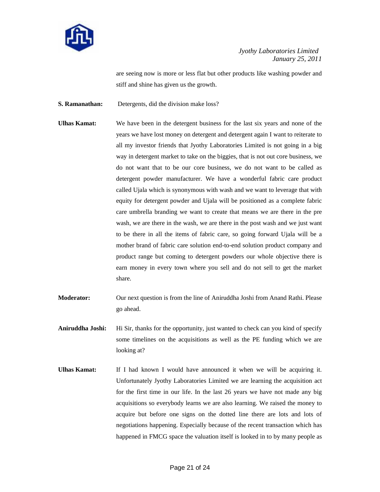

are seeing now is more or less flat but other products like washing powder and stiff and shine has given us the growth.

**S. Ramanathan:** Detergents, did the division make loss?

- **Ulhas Kamat:** We have been in the detergent business for the last six years and none of the years we have lost money on detergent and detergent again I want to reiterate to all my investor friends that Jyothy Laboratories Limited is not going in a big way in detergent market to take on the biggies, that is not out core business, we do not want that to be our core business, we do not want to be called as detergent powder manufacturer. We have a wonderful fabric care product called Ujala which is synonymous with wash and we want to leverage that with equity for detergent powder and Ujala will be positioned as a complete fabric care umbrella branding we want to create that means we are there in the pre wash, we are there in the wash, we are there in the post wash and we just want to be there in all the items of fabric care, so going forward Ujala will be a mother brand of fabric care solution end-to-end solution product company and product range but coming to detergent powders our whole objective there is earn money in every town where you sell and do not sell to get the market share.
- **Moderator:** Our next question is from the line of Aniruddha Joshi from Anand Rathi. Please go ahead.
- **Aniruddha Joshi:** Hi Sir, thanks for the opportunity, just wanted to check can you kind of specify some timelines on the acquisitions as well as the PE funding which we are looking at?
- **Ulhas Kamat:** If I had known I would have announced it when we will be acquiring it. Unfortunately Jyothy Laboratories Limited we are learning the acquisition act for the first time in our life. In the last 26 years we have not made any big acquisitions so everybody learns we are also learning. We raised the money to acquire but before one signs on the dotted line there are lots and lots of negotiations happening. Especially because of the recent transaction which has happened in FMCG space the valuation itself is looked in to by many people as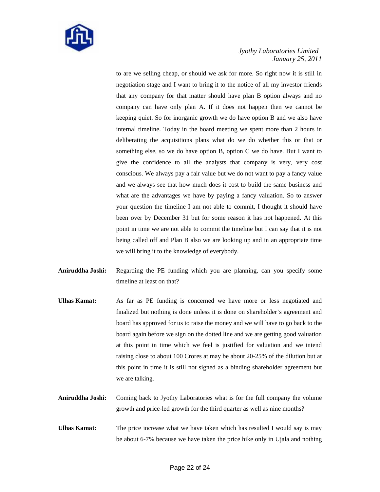

to are we selling cheap, or should we ask for more. So right now it is still in negotiation stage and I want to bring it to the notice of all my investor friends that any company for that matter should have plan B option always and no company can have only plan A. If it does not happen then we cannot be keeping quiet. So for inorganic growth we do have option B and we also have internal timeline. Today in the board meeting we spent more than 2 hours in deliberating the acquisitions plans what do we do whether this or that or something else, so we do have option B, option C we do have. But I want to give the confidence to all the analysts that company is very, very cost conscious. We always pay a fair value but we do not want to pay a fancy value and we always see that how much does it cost to build the same business and what are the advantages we have by paying a fancy valuation. So to answer your question the timeline I am not able to commit, I thought it should have been over by December 31 but for some reason it has not happened. At this point in time we are not able to commit the timeline but I can say that it is not being called off and Plan B also we are looking up and in an appropriate time we will bring it to the knowledge of everybody.

- **Aniruddha Joshi:** Regarding the PE funding which you are planning, can you specify some timeline at least on that?
- **Ulhas Kamat:** As far as PE funding is concerned we have more or less negotiated and finalized but nothing is done unless it is done on shareholder's agreement and board has approved for us to raise the money and we will have to go back to the board again before we sign on the dotted line and we are getting good valuation at this point in time which we feel is justified for valuation and we intend raising close to about 100 Crores at may be about 20-25% of the dilution but at this point in time it is still not signed as a binding shareholder agreement but we are talking.
- **Aniruddha Joshi:** Coming back to Jyothy Laboratories what is for the full company the volume growth and price-led growth for the third quarter as well as nine months?
- **Ulhas Kamat:** The price increase what we have taken which has resulted I would say is may be about 6-7% because we have taken the price hike only in Ujala and nothing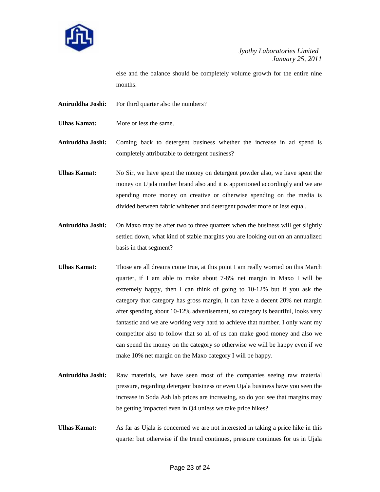

else and the balance should be completely volume growth for the entire nine months.

- **Aniruddha Joshi:** For third quarter also the numbers?
- **Ulhas Kamat:** More or less the same.

**Aniruddha Joshi:** Coming back to detergent business whether the increase in ad spend is completely attributable to detergent business?

- **Ulhas Kamat:** No Sir, we have spent the money on detergent powder also, we have spent the money on Ujala mother brand also and it is apportioned accordingly and we are spending more money on creative or otherwise spending on the media is divided between fabric whitener and detergent powder more or less equal.
- **Aniruddha Joshi:** On Maxo may be after two to three quarters when the business will get slightly settled down, what kind of stable margins you are looking out on an annualized basis in that segment?
- **Ulhas Kamat:** Those are all dreams come true, at this point I am really worried on this March quarter, if I am able to make about 7-8% net margin in Maxo I will be extremely happy, then I can think of going to 10-12% but if you ask the category that category has gross margin, it can have a decent 20% net margin after spending about 10-12% advertisement, so category is beautiful, looks very fantastic and we are working very hard to achieve that number. I only want my competitor also to follow that so all of us can make good money and also we can spend the money on the category so otherwise we will be happy even if we make 10% net margin on the Maxo category I will be happy.
- **Aniruddha Joshi:** Raw materials, we have seen most of the companies seeing raw material pressure, regarding detergent business or even Ujala business have you seen the increase in Soda Ash lab prices are increasing, so do you see that margins may be getting impacted even in Q4 unless we take price hikes?
- **Ulhas Kamat:** As far as Ujala is concerned we are not interested in taking a price hike in this quarter but otherwise if the trend continues, pressure continues for us in Ujala